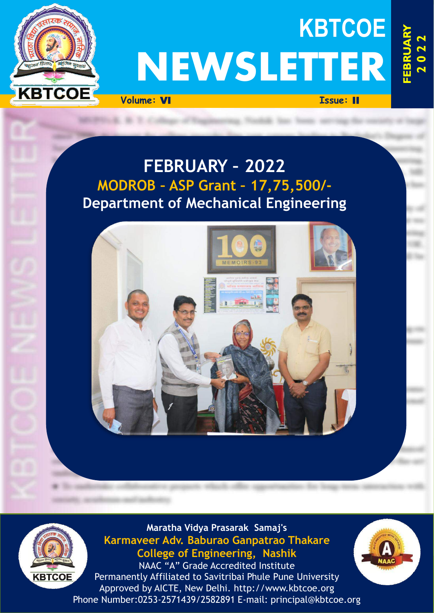

# **KBTCOE NEWSLETTER**

**Volume:** VI **Issue:** II

**FEBRUARY 2 0 2**   $\sim$ 

# **FEBRUARY – 2022 MODROB – ASP Grant – 17,75,500/- Department of Mechanical Engineering**





**Maratha Vidya Prasarak Samaj's Karmaveer Adv. Baburao Ganpatrao Thakare College of Engineering, Nashik**

NAAC "A" Grade Accredited Institute Permanently Affiliated to Savitribai Phule Pune University Approved by AICTE, New Delhi. http://www.kbtcoe.org Phone Number:0253-2571439/2582891 E-mail: principal@kbtcoe.org

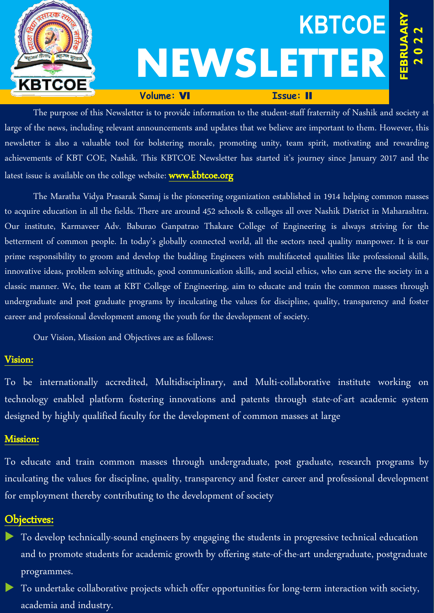

The purpose of this Newsletter is to provide information to the student-staff fraternity of Nashik and society at large of the news, including relevant announcements and updates that we believe are important to them. However, this newsletter is also a valuable tool for bolstering morale, promoting unity, team spirit, motivating and rewarding achievements of KBT COE, Nashik. This KBTCOE Newsletter has started it's journey since January 2017 and the latest issue is available on the college website: www.kbtcoe.org

The Maratha Vidya Prasarak Samaj is the pioneering organization established in 1914 helping common masses to acquire education in all the fields. There are around 452 schools & colleges all over Nashik District in Maharashtra. Our institute, Karmaveer Adv. Baburao Ganpatrao Thakare College of Engineering is always striving for the betterment of common people. In today's globally connected world, all the sectors need quality manpower. It is our prime responsibility to groom and develop the budding Engineers with multifaceted qualities like professional skills, innovative ideas, problem solving attitude, good communication skills, and social ethics, who can serve the society in a classic manner. We, the team at KBT College of Engineering, aim to educate and train the common masses through undergraduate and post graduate programs by inculcating the values for discipline, quality, transparency and foster career and professional development among the youth for the development of society.

Our Vision, Mission and Objectives are as follows:

# Vision:

To be internationally accredited, Multidisciplinary, and Multi-collaborative institute working on technology enabled platform fostering innovations and patents through state-of-art academic system designed by highly qualified faculty for the development of common masses at large

# Mission:

To educate and train common masses through undergraduate, post graduate, research programs by inculcating the values for discipline, quality, transparency and foster career and professional development for employment thereby contributing to the development of society

# Objectives:

- To develop technically-sound engineers by engaging the students in progressive technical education and to promote students for academic growth by offering state-of-the-art undergraduate, postgraduate programmes.
- To undertake collaborative projects which offer opportunities for long-term interaction with society, academia and industry.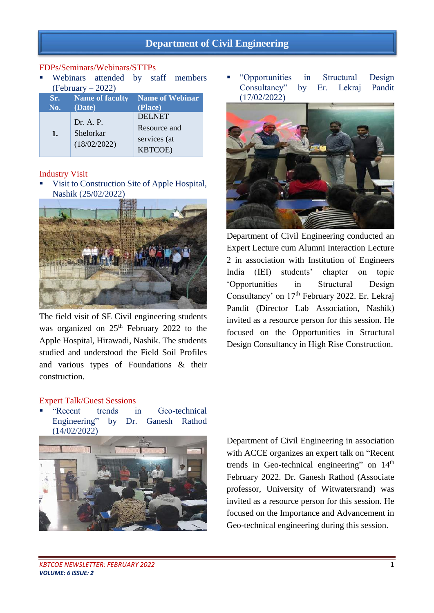# **Department of Civil Engineering**

#### FDPs/Seminars/Webinars/STTPs

 Webinars attended by staff members (February – 2022)

| Sr.            | <b>Name of faculty</b>                 | <b>Name of Webinar</b> |
|----------------|----------------------------------------|------------------------|
| No.            | (Date)                                 | (Place)                |
| $\mathbf{1}$ . | Dr. A. P.<br>Shelorkar<br>(18/02/2022) | <b>DELNET</b>          |
|                |                                        | Resource and           |
|                |                                        | services (at           |
|                |                                        | <b>KBTCOE</b> )        |

#### Industry Visit

 Visit to Construction Site of Apple Hospital, Nashik (25/02/2022)



The field visit of SE Civil engineering students was organized on  $25<sup>th</sup>$  February 2022 to the Apple Hospital, Hirawadi, Nashik. The students studied and understood the Field Soil Profiles and various types of Foundations & their construction.

 "Opportunities in Structural Design Consultancy" by Er. Lekraj Pandit (17/02/2022)



Department of Civil Engineering conducted an Expert Lecture cum Alumni Interaction Lecture 2 in association with Institution of Engineers India (IEI) students' chapter on topic 'Opportunities in Structural Design Consultancy' on 17<sup>th</sup> February 2022. Er. Lekraj Pandit (Director Lab Association, Nashik) invited as a resource person for this session. He focused on the Opportunities in Structural Design Consultancy in High Rise Construction.

#### Expert Talk/Guest Sessions

"Recent trends in Geo-technical<br>Engineering" by Dr. Ganesh Rathod by Dr. Ganesh Rathod (14/02/2022)



Department of Civil Engineering in association with ACCE organizes an expert talk on "Recent trends in Geo-technical engineering" on  $14<sup>th</sup>$ February 2022. Dr. Ganesh Rathod (Associate professor, University of Witwatersrand) was invited as a resource person for this session. He focused on the Importance and Advancement in Geo-technical engineering during this session.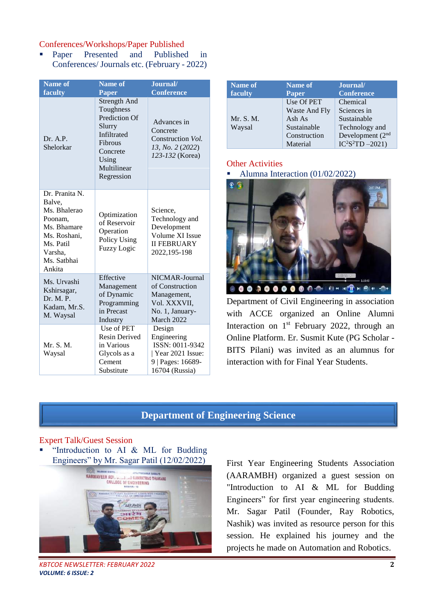#### Conferences/Workshops/Paper Published

 Paper Presented and Published in Conferences/ Journals etc. (February - 2022)

| <b>Name of</b>                                                                                                                      | <b>Name of</b>                                                                                                                                        | Journal/                                                                                            |
|-------------------------------------------------------------------------------------------------------------------------------------|-------------------------------------------------------------------------------------------------------------------------------------------------------|-----------------------------------------------------------------------------------------------------|
| faculty                                                                                                                             | Paper                                                                                                                                                 | <b>Conference</b>                                                                                   |
| Dr. A.P.<br>Shelorkar                                                                                                               | <b>Strength And</b><br>Toughness<br><b>Prediction Of</b><br>Slurry<br>Infiltrated<br><b>Fibrous</b><br>Concrete<br>Using<br>Multilinear<br>Regression | Advances in<br>Concrete<br>Construction <i>Vol.</i><br>13, No. 2 (2022)<br>123-132 (Korea)          |
| Dr. Pranita N.<br>Balve,<br>Ms. Bhalerao<br>Poonam.<br>Ms. Bhamare<br>Ms. Roshani,<br>Ms. Patil<br>Varsha.<br>Ms. Satbhai<br>Ankita | Optimization<br>of Reservoir<br>Operation<br>Policy Using<br><b>Fuzzy Logic</b>                                                                       | Science,<br>Technology and<br>Development<br>Volume XI Issue<br><b>II FEBRUARY</b><br>2022,195-198  |
| Ms. Urvashi<br>Kshirsagar,<br>Dr. M. P.<br>Kadam, Mr.S.<br>M. Waysal                                                                | Effective<br>Management<br>of Dynamic<br>Programming<br>in Precast<br>Industry                                                                        | NICMAR-Journal<br>of Construction<br>Management,<br>Vol. XXXVII,<br>No. 1, January-<br>March 2022   |
| Mr. S. M.<br>Waysal                                                                                                                 | Use of PET<br><b>Resin Derived</b><br>in Various<br>Glycols as a<br>Cement<br>Substitute                                                              | Design<br>Engineering<br>ISSN: 0011-9342<br>Year 2021 Issue:<br>9   Pages: 16689-<br>16704 (Russia) |

| Name of             | Name of                                                                          | Journal/                                                                                                       |
|---------------------|----------------------------------------------------------------------------------|----------------------------------------------------------------------------------------------------------------|
| faculty             | <b>Paper</b>                                                                     | <b>Conference</b>                                                                                              |
| Mr. S. M.<br>Waysal | Use Of PET<br>Waste And Fly<br>Ash As<br>Sustainable<br>Construction<br>Material | Chemical<br>Sciences in<br>Sustainable<br>Technology and<br>Development (2 <sup>nd</sup><br>$IC^2S^2TD - 2021$ |

#### **Other Activities**

Alumna Interaction (01/02/2022)



Department of Civil Engineering in association with ACCE organized an Online Alumni Interaction on 1<sup>st</sup> February 2022, through an Online Platform. Er. Susmit Kute (PG Scholar - BITS Pilani) was invited as an alumnus for interaction with for Final Year Students.

# **Department of Engineering Science**

#### Expert Talk/Guest Session

 "Introduction to AI & ML for Budding Engineers" by Mr. Sagar Patil (12/02/2022)



*KBTCOE NEWSLETTER: FEBRUARY 2022* **2** *VOLUME: 6 ISSUE: 2*

First Year Engineering Students Association (AARAMBH) organized a guest session on "Introduction to AI & ML for Budding Engineers" for first year engineering students. Mr. Sagar Patil (Founder, Ray Robotics, Nashik) was invited as resource person for this session. He explained his journey and the projects he made on Automation and Robotics.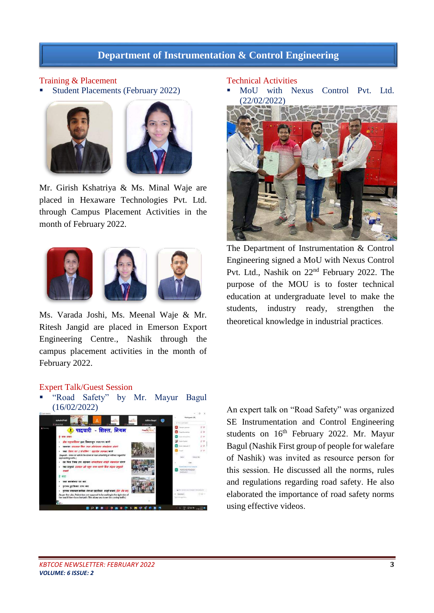# **Department of Instrumentation & Control Engineering**

#### Training & Placement

Student Placements (February 2022)





Mr. Girish Kshatriya & Ms. Minal Waje are placed in Hexaware Technologies Pvt. Ltd. through Campus Placement Activities in the month of February 2022.



Ms. Varada Joshi, Ms. Meenal Waje & Mr. Ritesh Jangid are placed in Emerson Export Engineering Centre., Nashik through the campus placement activities in the month of February 2022.

#### Technical Activities

 MoU with Nexus Control Pvt. Ltd. (22/02/2022)



The Department of Instrumentation & Control Engineering signed a MoU with Nexus Control Pvt. Ltd., Nashik on 22nd February 2022. The purpose of the MOU is to foster technical education at undergraduate level to make the students, industry ready, strengthen the theoretical knowledge in industrial practices.

#### Expert Talk/Guest Session

 "Road Safety" by Mr. Mayur Bagul (16/02/2022)



An expert talk on "Road Safety" was organized SE Instrumentation and Control Engineering students on  $16<sup>th</sup>$  February 2022. Mr. Mayur Bagul (Nashik First group of people for walefare of Nashik) was invited as resource person for this session. He discussed all the norms, rules and regulations regarding road safety. He also elaborated the importance of road safety norms using effective videos.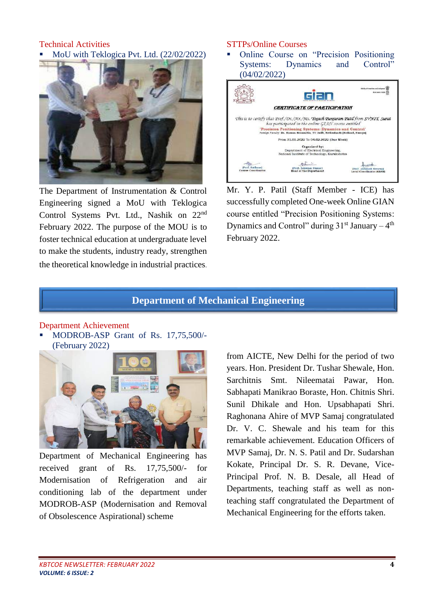#### Technical Activities MoU with Teklogica Pvt. Ltd. (22/02/2022)



The Department of Instrumentation & Control Engineering signed a MoU with Teklogica Control Systems Pvt. Ltd., Nashik on 22nd February 2022. The purpose of the MOU is to foster technical education at undergraduate level to make the students, industry ready, strengthen the theoretical knowledge in industrial practices.

#### STTPs/Online Courses

 Online Course on "Precision Positioning Systems: Dynamics and Control" (04/02/2022)



Mr. Y. P. Patil (Staff Member - ICE) has successfully completed One-week Online GIAN course entitled "Precision Positioning Systems: Dynamics and Control" during  $31<sup>st</sup>$  January –  $4<sup>th</sup>$ February 2022.

### **Department of Mechanical Engineering**

#### Department Achievement

 MODROB-ASP Grant of Rs. 17,75,500/- (February 2022)



Department of Mechanical Engineering has received grant of Rs. 17,75,500/- for Modernisation of Refrigeration and air conditioning lab of the department under MODROB-ASP (Modernisation and Removal of Obsolescence Aspirational) scheme

from AICTE, New Delhi for the period of two years. Hon. President Dr. Tushar Shewale, Hon. Sarchitnis Smt. Nileematai Pawar, Hon. Sabhapati Manikrao Boraste, Hon. Chitnis Shri. Sunil Dhikale and Hon. Upsabhapati Shri. Raghonana Ahire of MVP Samaj congratulated Dr. V. C. Shewale and his team for this remarkable achievement. Education Officers of MVP Samaj, Dr. N. S. Patil and Dr. Sudarshan Kokate, Principal Dr. S. R. Devane, Vice-Principal Prof. N. B. Desale, all Head of Departments, teaching staff as well as nonteaching staff congratulated the Department of Mechanical Engineering for the efforts taken.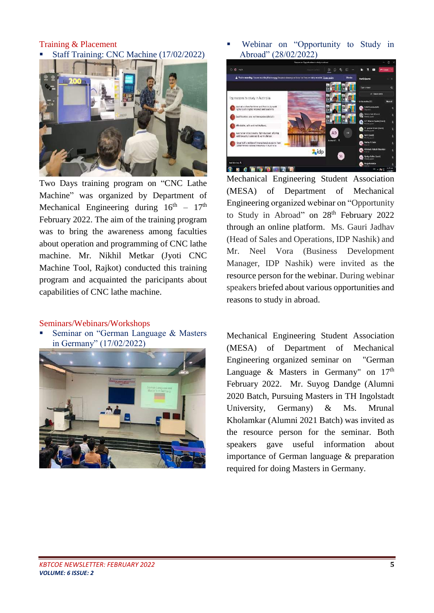Training & Placement Staff Training: CNC Machine (17/02/2022)



Two Days training program on "CNC Lathe Machine" was organized by Department of Mechanical Engineering during  $16<sup>th</sup> - 17<sup>th</sup>$ February 2022. The aim of the training program was to bring the awareness among faculties about operation and programming of CNC lathe machine. Mr. Nikhil Metkar (Jyoti CNC Machine Tool, Rajkot) conducted this training program and acquainted the paricipants about capabilities of CNC lathe machine.

#### Seminars/Webinars/Workshops

 Seminar on "German Language & Masters in Germany" (17/02/2022)



 Webinar on "Opportunity to Study in Abroad" (28/02/2022)



Mechanical Engineering Student Association (MESA) of Department of Mechanical Engineering organized webinar on "Opportunity to Study in Abroad" on 28<sup>th</sup> February 2022 through an online platform. Ms. Gauri Jadhav (Head of Sales and Operations, IDP Nashik) and Mr. Neel Vora (Business Development Manager, IDP Nashik) were invited as the resource person for the webinar. During webinar speakers briefed about various opportunities and reasons to study in abroad.

Mechanical Engineering Student Association (MESA) of Department of Mechanical Engineering organized seminar on "German Language & Masters in Germany" on  $17<sup>th</sup>$ February 2022. Mr. Suyog Dandge (Alumni 2020 Batch, Pursuing Masters in TH Ingolstadt University, Germany) & Ms. Mrunal Kholamkar (Alumni 2021 Batch) was invited as the resource person for the seminar. Both speakers gave useful information about importance of German language & preparation required for doing Masters in Germany.